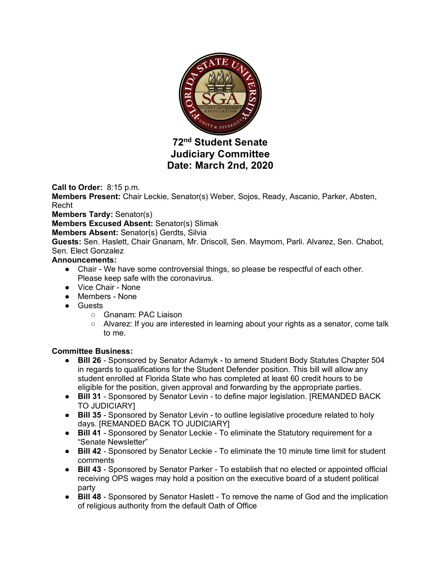

# **72nd Student Senate Judiciary Committee Date: March 2nd, 2020**

**Call to Order:** 8:15 p.m.

**Members Present:** Chair Leckie, Senator(s) Weber, Sojos, Ready, Ascanio, Parker, Absten, Recht

**Members Tardy:** Senator(s)

**Members Excused Absent:** Senator(s) Slimak

**Members Absent:** Senator(s) Gerdts, Silvia

**Guests:** Sen. Haslett, Chair Gnanam, Mr. Driscoll, Sen. Maymom, Parli. Alvarez, Sen. Chabot, Sen. Elect Gonzalez

### **Announcements:**

- Chair We have some controversial things, so please be respectful of each other. Please keep safe with the coronavirus.
- Vice Chair None
- Members None
- Guests
	- Gnanam: PAC Liaison
	- Alvarez: If you are interested in learning about your rights as a senator, come talk to me.

### **Committee Business:**

- **Bill 26** Sponsored by Senator Adamyk to amend Student Body Statutes Chapter 504 in regards to qualifications for the Student Defender position. This bill will allow any student enrolled at Florida State who has completed at least 60 credit hours to be eligible for the position, given approval and forwarding by the appropriate parties.
- **Bill 31** Sponsored by Senator Levin to define major legislation. [REMANDED BACK TO JUDICIARY]
- **Bill 35** Sponsored by Senator Levin to outline legislative procedure related to holy days. [REMANDED BACK TO JUDICIARY]
- **Bill 41**  Sponsored by Senator Leckie To eliminate the Statutory requirement for a "Senate Newsletter"
- **Bill 42**  Sponsored by Senator Leckie To eliminate the 10 minute time limit for student comments
- **Bill 43** Sponsored by Senator Parker To establish that no elected or appointed official receiving OPS wages may hold a position on the executive board of a student political party
- **Bill 48** Sponsored by Senator Haslett To remove the name of God and the implication of religious authority from the default Oath of Office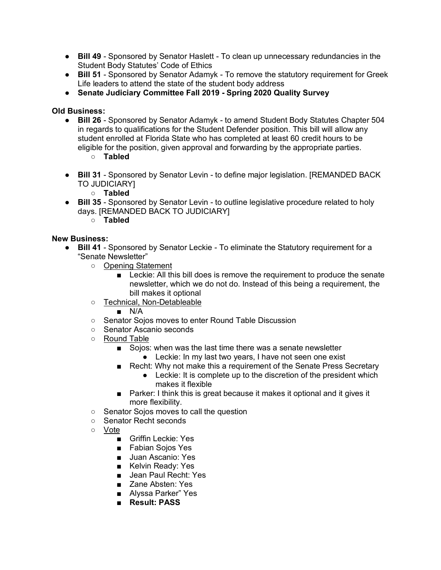- **Bill 49** Sponsored by Senator Haslett To clean up unnecessary redundancies in the Student Body Statutes' Code of Ethics
- **Bill 51** Sponsored by Senator Adamyk To remove the statutory requirement for Greek Life leaders to attend the state of the student body address
- **Senate Judiciary Committee Fall 2019 - Spring 2020 Quality Survey**

## **Old Business:**

- **Bill 26** Sponsored by Senator Adamyk to amend Student Body Statutes Chapter 504 in regards to qualifications for the Student Defender position. This bill will allow any student enrolled at Florida State who has completed at least 60 credit hours to be eligible for the position, given approval and forwarding by the appropriate parties.
	- **Tabled**
- **Bill 31** Sponsored by Senator Levin to define major legislation. [REMANDED BACK TO JUDICIARY]
	- **Tabled**
- **Bill 35** Sponsored by Senator Levin to outline legislative procedure related to holy days. [REMANDED BACK TO JUDICIARY]
	- **Tabled**

## **New Business:**

- **Bill 41**  Sponsored by Senator Leckie To eliminate the Statutory requirement for a "Senate Newsletter"
	- Opening Statement
		- Leckie: All this bill does is remove the requirement to produce the senate newsletter, which we do not do. Instead of this being a requirement, the bill makes it optional
	- Technical, Non-Detableable
		- N/A
	- Senator Sojos moves to enter Round Table Discussion
	- Senator Ascanio seconds
	- Round Table
		- Sojos: when was the last time there was a senate newsletter ● Leckie: In my last two years, I have not seen one exist
		- Recht: Why not make this a requirement of the Senate Press Secretary
			- Leckie: It is complete up to the discretion of the president which makes it flexible
		- Parker: I think this is great because it makes it optional and it gives it more flexibility.
	- Senator Sojos moves to call the question
	- Senator Recht seconds
	- Vote
		- Griffin Leckie: Yes
		- Fabian Sojos Yes
		- Juan Ascanio: Yes
		- Kelvin Ready: Yes
		- Jean Paul Recht: Yes
		- Zane Absten: Yes
		- Alyssa Parker" Yes
		- **Result: PASS**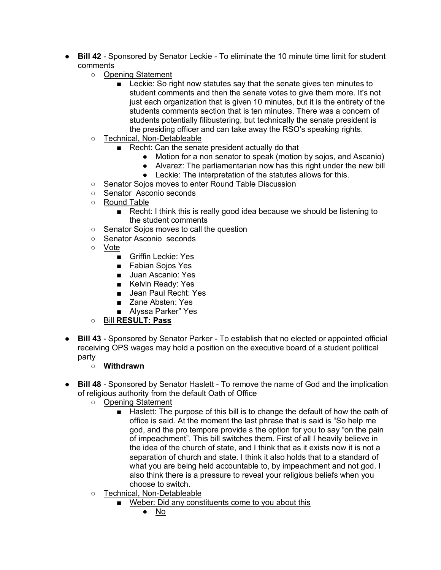- **Bill 42** Sponsored by Senator Leckie To eliminate the 10 minute time limit for student comments
	- Opening Statement
		- Leckie: So right now statutes say that the senate gives ten minutes to student comments and then the senate votes to give them more. It's not just each organization that is given 10 minutes, but it is the entirety of the students comments section that is ten minutes. There was a concern of students potentially filibustering, but technically the senate president is the presiding officer and can take away the RSO's speaking rights.
	- Technical, Non-Detableable
		- Recht: Can the senate president actually do that
			- Motion for a non senator to speak (motion by sojos, and Ascanio)
			- Alvarez: The parliamentarian now has this right under the new bill
			- Leckie: The interpretation of the statutes allows for this.
	- Senator Sojos moves to enter Round Table Discussion
	- Senator Asconio seconds
	- Round Table
		- Recht: I think this is really good idea because we should be listening to the student comments
	- Senator Sojos moves to call the question
	- Senator Asconio seconds
	- Vote
		- Griffin Leckie: Yes
		- Fabian Sojos Yes
		- Juan Ascanio: Yes
		- Kelvin Ready: Yes
		- Jean Paul Recht: Yes
		- Zane Absten: Yes
		- Alyssa Parker" Yes
	- Bill **RESULT: Pass**
- **Bill 43** Sponsored by Senator Parker To establish that no elected or appointed official receiving OPS wages may hold a position on the executive board of a student political party
	- **Withdrawn**
- **Bill 48** Sponsored by Senator Haslett To remove the name of God and the implication of religious authority from the default Oath of Office
	- Opening Statement
		- Haslett: The purpose of this bill is to change the default of how the oath of office is said. At the moment the last phrase that is said is "So help me god, and the pro tempore provide s the option for you to say "on the pain of impeachment". This bill switches them. First of all I heavily believe in the idea of the church of state, and I think that as it exists now it is not a separation of church and state. I think it also holds that to a standard of what you are being held accountable to, by impeachment and not god. I also think there is a pressure to reveal your religious beliefs when you choose to switch.
	- Technical, Non-Detableable
		- Weber: Did any constituents come to you about this
			- No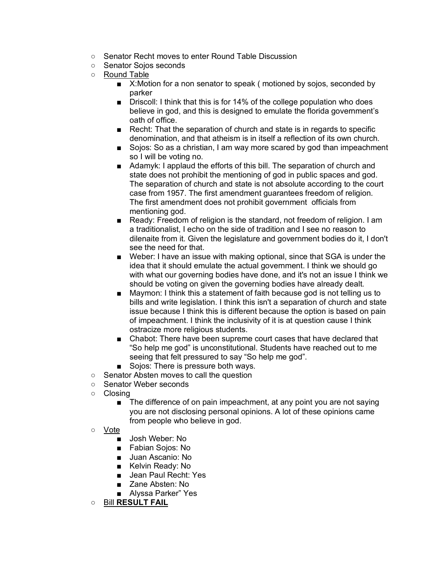- Senator Recht moves to enter Round Table Discussion
- Senator Sojos seconds
- Round Table
	- X: Motion for a non senator to speak (motioned by sojos, seconded by parker
	- Driscoll: I think that this is for 14% of the college population who does believe in god, and this is designed to emulate the florida government's oath of office.
	- Recht: That the separation of church and state is in regards to specific denomination, and that atheism is in itself a reflection of its own church.
	- Sojos: So as a christian, I am way more scared by god than impeachment so I will be voting no.
	- Adamyk: I applaud the efforts of this bill. The separation of church and state does not prohibit the mentioning of god in public spaces and god. The separation of church and state is not absolute according to the court case from 1957. The first amendment guarantees freedom of religion. The first amendment does not prohibit government officials from mentioning god.
	- Ready: Freedom of religion is the standard, not freedom of religion. I am a traditionalist, I echo on the side of tradition and I see no reason to dilenaite from it. Given the legislature and government bodies do it, I don't see the need for that.
	- Weber: I have an issue with making optional, since that SGA is under the idea that it should emulate the actual government. I think we should go with what our governing bodies have done, and it's not an issue I think we should be voting on given the governing bodies have already dealt.
	- Maymon: I think this a statement of faith because god is not telling us to bills and write legislation. I think this isn't a separation of church and state issue because I think this is different because the option is based on pain of impeachment. I think the inclusivity of it is at question cause I think ostracize more religious students.
	- Chabot: There have been supreme court cases that have declared that "So help me god" is unconstitutional. Students have reached out to me seeing that felt pressured to say "So help me god".
	- Sojos: There is pressure both ways.
- Senator Absten moves to call the question
- Senator Weber seconds
- Closing
	- The difference of on pain impeachment, at any point you are not saying you are not disclosing personal opinions. A lot of these opinions came from people who believe in god.
- Vote
	- Josh Weber: No
	- Fabian Sojos: No
	- Juan Ascanio: No
	- Kelvin Ready: No
	- Jean Paul Recht: Yes
	- Zane Absten: No
	- Alyssa Parker" Yes
- Bill **RESULT FAIL**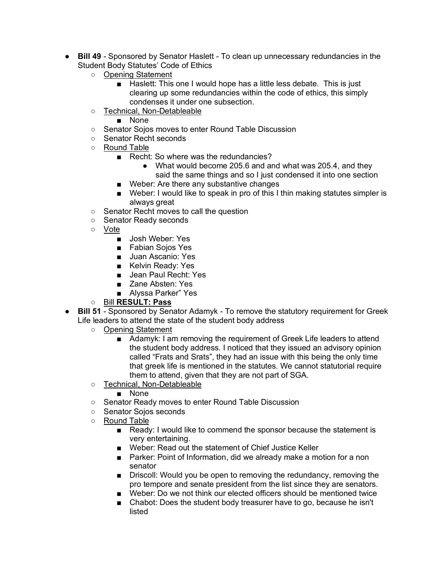- **Bill 49** Sponsored by Senator Haslett To clean up unnecessary redundancies in the Student Body Statutes' Code of Ethics
	- Opening Statement
		- Haslett: This one I would hope has a little less debate. This is just clearing up some redundancies within the code of ethics, this simply condenses it under one subsection.
	- Technical, Non-Detableable
		- None
	- Senator Sojos moves to enter Round Table Discussion
	- Senator Recht seconds
	- Round Table
		- Recht: So where was the redundancies?
			- What would become 205.6 and and what was 205.4, and they said the same things and so I just condensed it into one section
		- Weber: Are there any substantive changes
		- Weber: I would like to speak in pro of this I thin making statutes simpler is always great
	- Senator Recht moves to call the question
	- Senator Ready seconds
	- Vote
		- Josh Weber: Yes
		- Fabian Sojos Yes
		- Juan Ascanio: Yes
		- Kelvin Ready: Yes
		- Jean Paul Recht: Yes
		- Zane Absten: Yes
		- Alyssa Parker" Yes
	- Bill **RESULT: Pass**
- **Bill 51** Sponsored by Senator Adamyk To remove the statutory requirement for Greek Life leaders to attend the state of the student body address
	- Opening Statement
		- Adamyk: I am removing the requirement of Greek Life leaders to attend the student body address. I noticed that they issued an advisory opinion called "Frats and Srats", they had an issue with this being the only time that greek life is mentioned in the statutes. We cannot statutorial require them to attend, given that they are not part of SGA.
	- Technical, Non-Detableable
		- None
	- Senator Ready moves to enter Round Table Discussion
	- Senator Sojos seconds
	- Round Table
		- Ready: I would like to commend the sponsor because the statement is very entertaining.
		- Weber: Read out the statement of Chief Justice Keller
		- Parker: Point of Information, did we already make a motion for a non senator
		- Driscoll: Would you be open to removing the redundancy, removing the pro tempore and senate president from the list since they are senators.
		- Weber: Do we not think our elected officers should be mentioned twice
		- Chabot: Does the student body treasurer have to go, because he isn't listed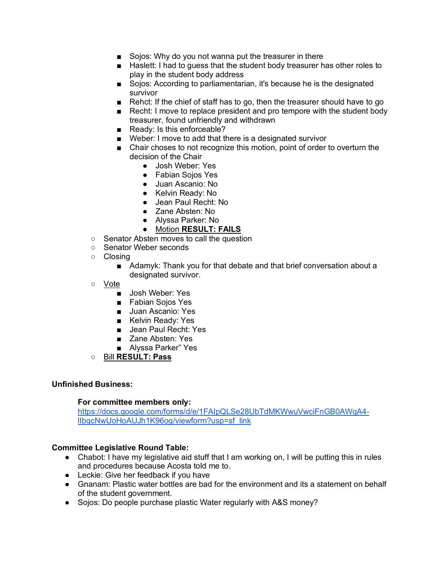- Sojos: Why do you not wanna put the treasurer in there
- Haslett: I had to quess that the student body treasurer has other roles to play in the student body address
- Sojos: According to parliamentarian, it's because he is the designated survivor
- Rehct: If the chief of staff has to go, then the treasurer should have to go
- Recht: I move to replace president and pro tempore with the student body treasurer, found unfriendly and withdrawn
- Ready: Is this enforceable?
- Weber: I move to add that there is a designated survivor
- Chair choses to not recognize this motion, point of order to overturn the decision of the Chair
	- Josh Weber: Yes
	- Fabian Sojos Yes
	- Juan Ascanio: No
	- Kelvin Ready: No
	- Jean Paul Recht: No
	- Zane Absten: No
	- Alyssa Parker: No
	- Motion **RESULT: FAILS**
- Senator Absten moves to call the question
- Senator Weber seconds
- Closing
	- Adamyk: Thank you for that debate and that brief conversation about a designated survivor.
- Vote
	- Josh Weber: Yes
	- Fabian Soios Yes
	- Juan Ascanio: Yes
	- Kelvin Ready: Yes
	- Jean Paul Recht: Yes
	- Zane Absten: Yes
	- Alyssa Parker" Yes
- Bill **RESULT: Pass**

#### **Unfinished Business:**

#### **For committee members only:**

https://docs.google.com/forms/d/e/1FAIpQLSe28UbTdMKWwuVwciFnGB0AWqA4 lIbqcNwUoHoAUJh1K96og/viewform?usp=sf\_link

### **Committee Legislative Round Table:**

- Chabot: I have my legislative aid stuff that I am working on, I will be putting this in rules and procedures because Acosta told me to.
- Leckie: Give her feedback if you have
- Gnanam: Plastic water bottles are bad for the environment and its a statement on behalf of the student government.
- Sojos: Do people purchase plastic Water regularly with A&S money?